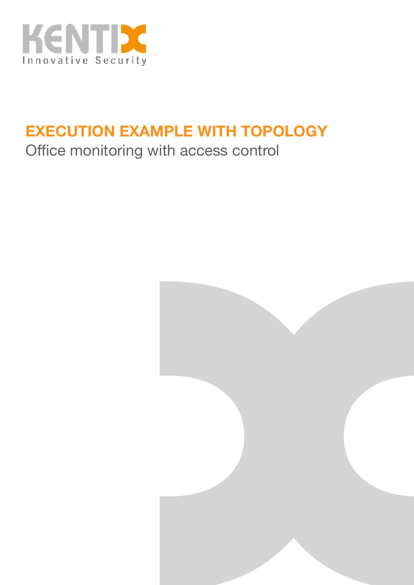

# **EXECUTION EXAMPLE WITH TOPOLOGY**

# Office monitoring with access control

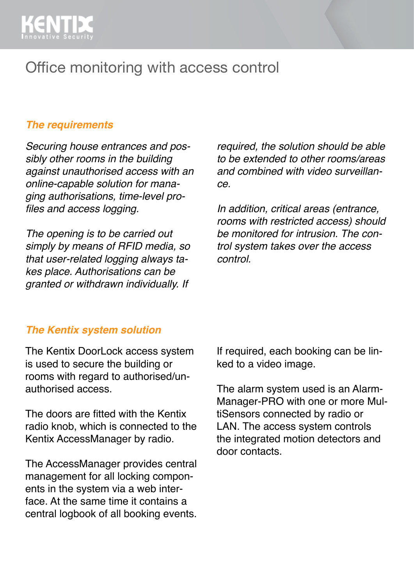

## Office monitoring with access control

#### *The requirements*

*Securing house entrances and possibly other rooms in the building against unauthorised access with an online-capable solution for managing authorisations, time-level profiles and access logging.*

*The opening is to be carried out simply by means of RFID media, so that user-related logging always takes place. Authorisations can be granted or withdrawn individually. If* 

*required, the solution should be able to be extended to other rooms/areas and combined with video surveillance.* 

*In addition, critical areas (entrance, rooms with restricted access) should be monitored for intrusion. The control system takes over the access control.*

#### *The Kentix system solution*

The Kentix DoorLock access system is used to secure the building or rooms with regard to authorised/unauthorised access.

The doors are fitted with the Kentix radio knob, which is connected to the Kentix AccessManager by radio.

The AccessManager provides central management for all locking components in the system via a web interface. At the same time it contains a central logbook of all booking events. If required, each booking can be linked to a video image.

The alarm system used is an Alarm-Manager-PRO with one or more MultiSensors connected by radio or LAN. The access system controls the integrated motion detectors and door contacts.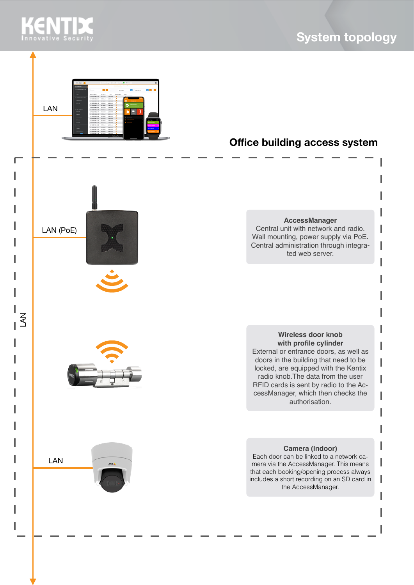